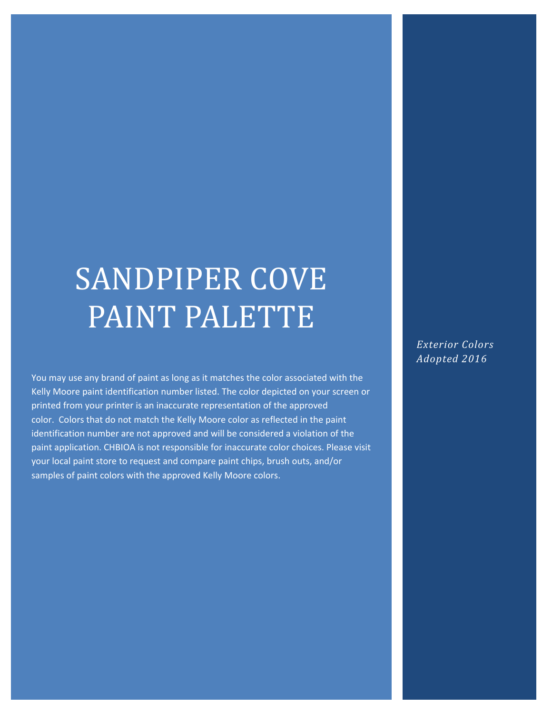# SANDPIPER COVE PAINT PALETTE

You may use any brand of paint as long as it matches the color associated with the Kelly Moore paint identification number listed. The color depicted on your screen or printed from your printer is an inaccurate representation of the approved color. Colors that do not match the Kelly Moore color as reflected in the paint identification number are not approved and will be considered a violation of the paint application. CHBIOA is not responsible for inaccurate color choices. Please visit your local paint store to request and compare paint chips, brush outs, and/or samples of paint colors with the approved Kelly Moore colors.

*Exterior Colors Adopted 2016*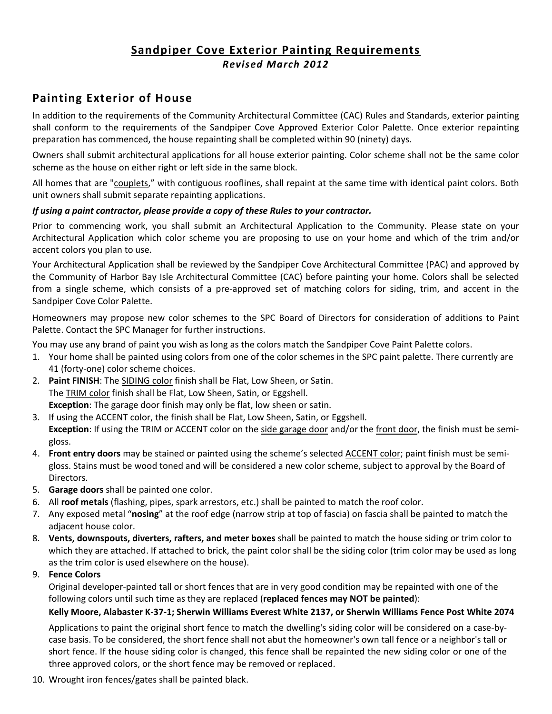### **Sandpiper Cove Exterior Painting Requirements** *Revised March 2012*

### **Painting Exterior of House**

In addition to the requirements of the Community Architectural Committee (CAC) Rules and Standards, exterior painting shall conform to the requirements of the Sandpiper Cove Approved Exterior Color Palette. Once exterior repainting preparation has commenced, the house repainting shall be completed within 90 (ninety) days.

Owners shall submit architectural applications for all house exterior painting. Color scheme shall not be the same color scheme as the house on either right or left side in the same block.

All homes that are "couplets," with contiguous rooflines, shall repaint at the same time with identical paint colors. Both unit owners shall submit separate repainting applications.

#### *If using a paint contractor, please provide a copy of these Rules to your contractor.*

Prior to commencing work, you shall submit an Architectural Application to the Community. Please state on your Architectural Application which color scheme you are proposing to use on your home and which of the trim and/or accent colors you plan to use.

Your Architectural Application shall be reviewed by the Sandpiper Cove Architectural Committee (PAC) and approved by the Community of Harbor Bay Isle Architectural Committee (CAC) before painting your home. Colors shall be selected from a single scheme, which consists of a pre-approved set of matching colors for siding, trim, and accent in the Sandpiper Cove Color Palette.

Homeowners may propose new color schemes to the SPC Board of Directors for consideration of additions to Paint Palette. Contact the SPC Manager for further instructions.

You may use any brand of paint you wish as long as the colors match the Sandpiper Cove Paint Palette colors.

- 1. Your home shall be painted using colors from one of the color schemes in the SPC paint palette. There currently are 41 (forty-one) color scheme choices.
- 2. **Paint FINISH**: The SIDING color finish shall be Flat, Low Sheen, or Satin. The TRIM color finish shall be Flat, Low Sheen, Satin, or Eggshell. **Exception**: The garage door finish may only be flat, low sheen or satin.
- 3. If using the ACCENT color, the finish shall be Flat, Low Sheen, Satin, or Eggshell. **Exception**: If using the TRIM or ACCENT color on the side garage door and/or the front door, the finish must be semigloss.
- 4. **Front entry doors** may be stained or painted using the scheme's selected ACCENT color; paint finish must be semi‐ gloss. Stains must be wood toned and will be considered a new color scheme, subject to approval by the Board of Directors.
- 5. **Garage doors** shall be painted one color.
- 6. All **roof metals** (flashing, pipes, spark arrestors, etc.) shall be painted to match the roof color.
- 7. Any exposed metal "**nosing**" at the roof edge (narrow strip at top of fascia) on fascia shall be painted to match the adjacent house color.
- 8. **Vents, downspouts, diverters, rafters, and meter boxes** shall be painted to match the house siding or trim color to which they are attached. If attached to brick, the paint color shall be the siding color (trim color may be used as long as the trim color is used elsewhere on the house).
- 9. **Fence Colors**

Original developer‐painted tall or short fences that are in very good condition may be repainted with one of the following colors until such time as they are replaced (**replaced fences may NOT be painted**):

#### Kelly Moore, Alabaster K-37-1; Sherwin Williams Everest White 2137, or Sherwin Williams Fence Post White 2074

Applications to paint the original short fence to match the dwelling's siding color will be considered on a case‐by‐ case basis. To be considered, the short fence shall not abut the homeowner's own tall fence or a neighbor's tall or short fence. If the house siding color is changed, this fence shall be repainted the new siding color or one of the three approved colors, or the short fence may be removed or replaced.

10. Wrought iron fences/gates shall be painted black.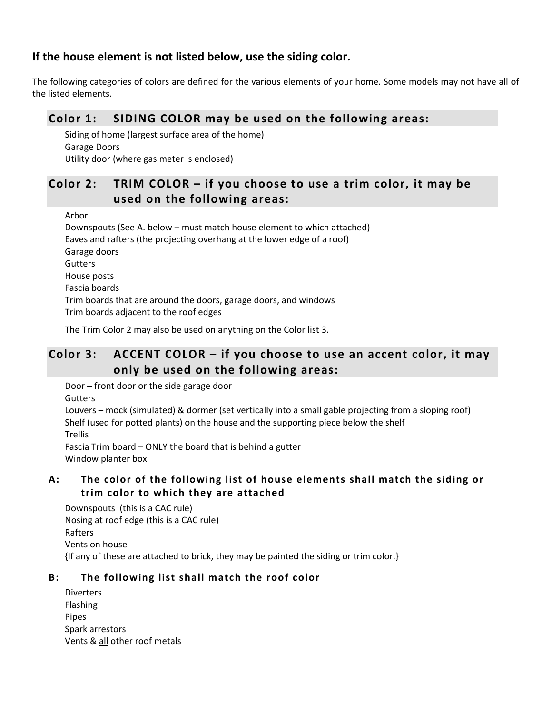#### **If the house element is not listed below, use the siding color.**

The following categories of colors are defined for the various elements of your home. Some models may not have all of the listed elements.

### **Color 1: SIDING COLOR may be used on the following areas:**

Siding of home (largest surface area of the home) Garage Doors Utility door (where gas meter is enclosed)

### **Color 2: TRIM COLOR – if you choose to use a trim color, it may be used on the following areas:**

Arbor

Downspouts (See A. below – must match house element to which attached) Eaves and rafters (the projecting overhang at the lower edge of a roof) Garage doors **Gutters** House posts Fascia boards Trim boards that are around the doors, garage doors, and windows Trim boards adjacent to the roof edges

The Trim Color 2 may also be used on anything on the Color list 3.

### **Color 3: ACCENT COLOR – if you choose to use an accent color, it may only be used on the following areas:**

Door – front door or the side garage door

**Gutters** 

Louvers – mock (simulated) & dormer (set vertically into a small gable projecting from a sloping roof) Shelf (used for potted plants) on the house and the supporting piece below the shelf Trellis Fascia Trim board – ONLY the board that is behind a gutter

Window planter box

#### **A: The color o f the following list o f house elements shall match the siding o r trim color to which they are attached**

Downspouts (this is a CAC rule) Nosing at roof edge (this is a CAC rule) Rafters Vents on house {If any of these are attached to brick, they may be painted the siding or trim color.}

#### **B: The following list shall match the roof color**

Diverters Flashing Pipes Spark arrestors Vents & all other roof metals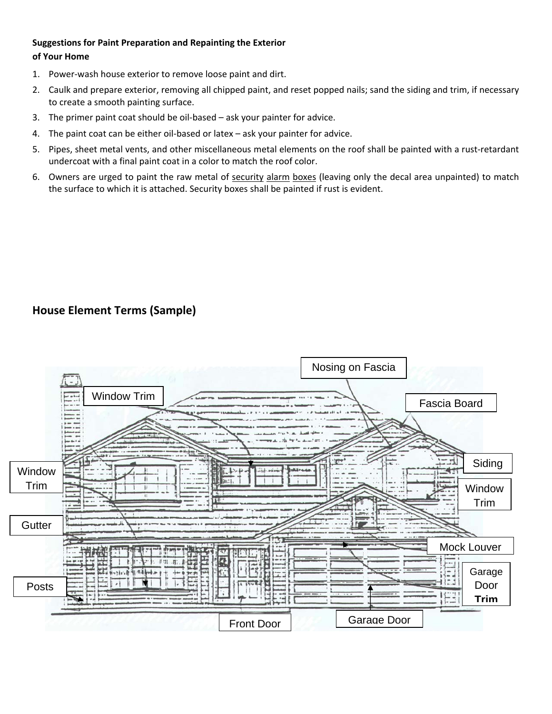#### **Suggestions for Paint Preparation and Repainting the Exterior of Your Home**

- 1. Power‐wash house exterior to remove loose paint and dirt.
- 2. Caulk and prepare exterior, removing all chipped paint, and reset popped nails; sand the siding and trim, if necessary to create a smooth painting surface.
- 3. The primer paint coat should be oil‐based ask your painter for advice.
- 4. The paint coat can be either oil-based or latex ask your painter for advice.
- 5. Pipes, sheet metal vents, and other miscellaneous metal elements on the roof shall be painted with a rust-retardant undercoat with a final paint coat in a color to match the roof color.
- 6. Owners are urged to paint the raw metal of security alarm boxes (leaving only the decal area unpainted) to match the surface to which it is attached. Security boxes shall be painted if rust is evident.

### **House Element Terms (Sample)**

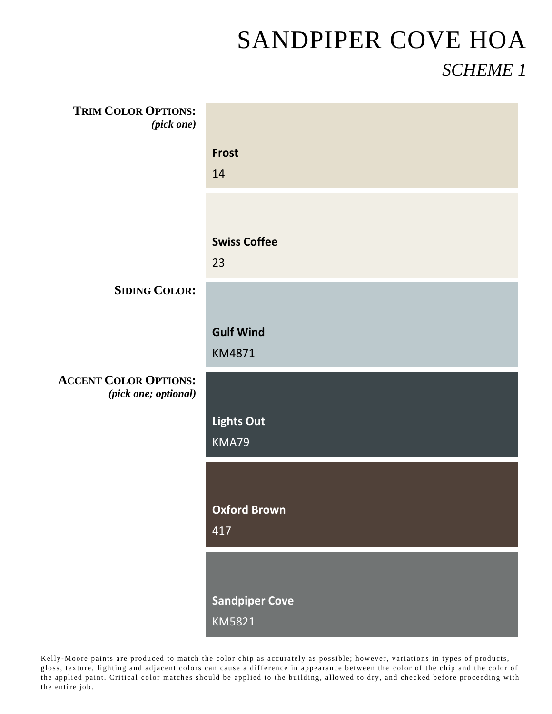| <b>TRIM COLOR OPTIONS:</b><br>(pick one)             |                                 |
|------------------------------------------------------|---------------------------------|
|                                                      | <b>Frost</b><br>14              |
|                                                      | <b>Swiss Coffee</b><br>23       |
| <b>SIDING COLOR:</b>                                 |                                 |
|                                                      | <b>Gulf Wind</b><br>KM4871      |
| <b>ACCENT COLOR OPTIONS:</b><br>(pick one; optional) |                                 |
|                                                      | <b>Lights Out</b><br>KMA79      |
|                                                      |                                 |
|                                                      | <b>Oxford Brown</b><br>417      |
|                                                      |                                 |
|                                                      | <b>Sandpiper Cove</b><br>KM5821 |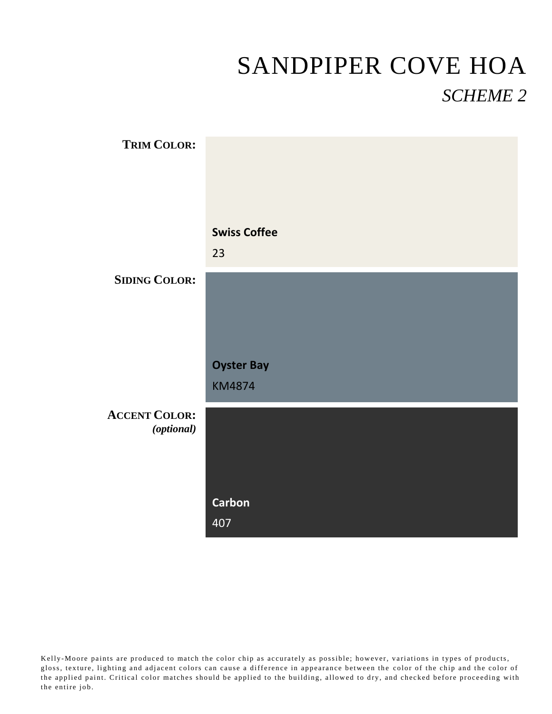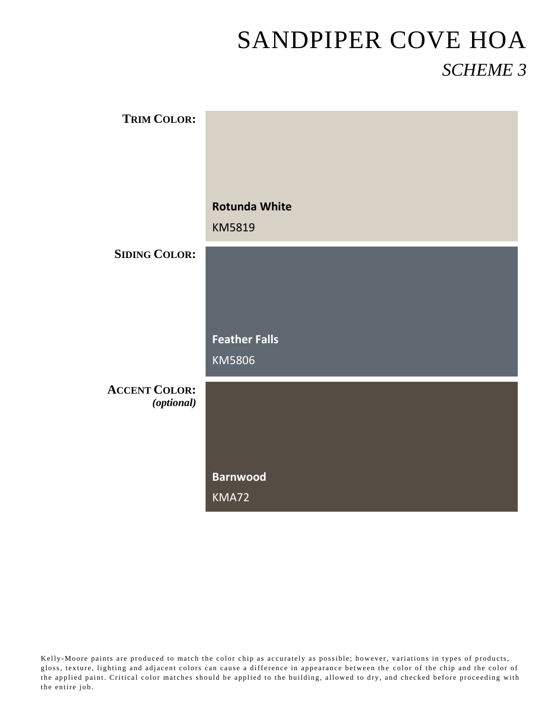| <b>TRIM COLOR:</b>   |                      |
|----------------------|----------------------|
|                      |                      |
|                      |                      |
|                      |                      |
|                      |                      |
|                      |                      |
|                      | <b>Rotunda White</b> |
|                      |                      |
|                      | KM5819               |
| <b>SIDING COLOR:</b> |                      |
|                      |                      |
|                      |                      |
|                      |                      |
|                      |                      |
|                      |                      |
|                      | <b>Feather Falls</b> |
|                      |                      |
|                      | KM5806               |
|                      |                      |
| <b>ACCENT COLOR:</b> |                      |
| (optional)           |                      |
|                      |                      |
|                      |                      |
|                      |                      |
|                      |                      |
|                      | <b>Barnwood</b>      |
|                      | KMA72                |
|                      |                      |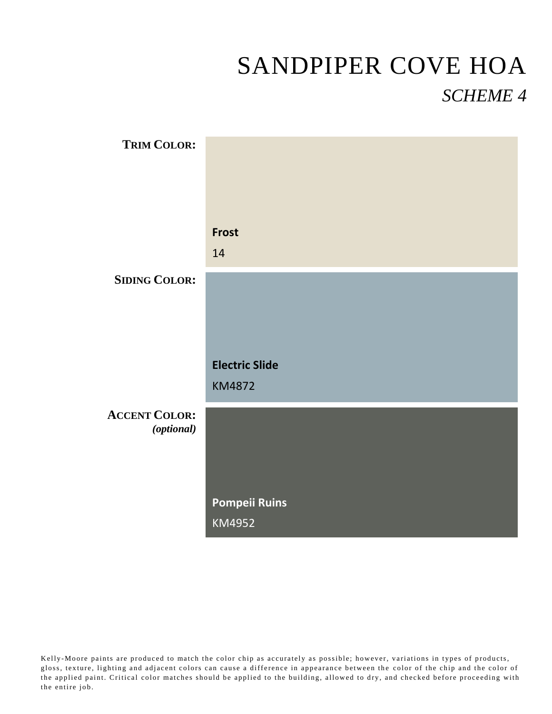| <b>TRIM COLOR:</b>   |                       |
|----------------------|-----------------------|
|                      |                       |
|                      |                       |
|                      |                       |
|                      | <b>Frost</b>          |
|                      | 14                    |
| <b>SIDING COLOR:</b> |                       |
|                      |                       |
|                      |                       |
|                      |                       |
|                      | <b>Electric Slide</b> |
|                      | <b>KM4872</b>         |
| <b>ACCENT COLOR:</b> |                       |
| (optional)           |                       |
|                      |                       |
|                      |                       |
|                      |                       |
|                      | <b>Pompeii Ruins</b>  |
|                      | KM4952                |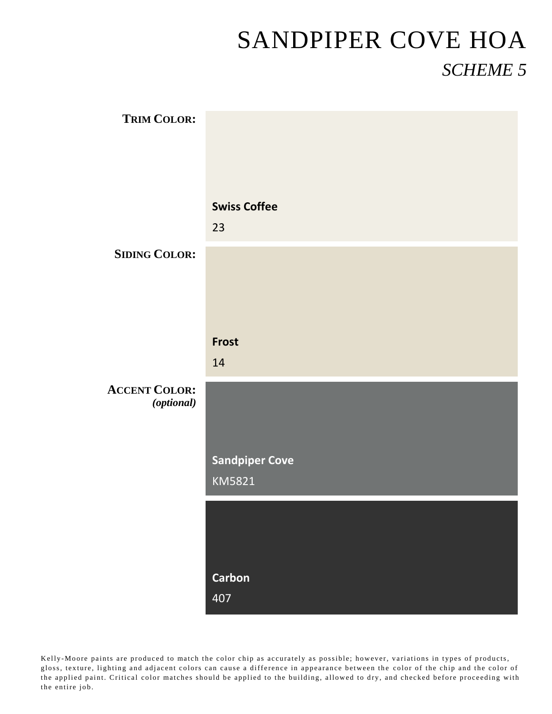| <b>TRIM COLOR:</b>                 |                       |
|------------------------------------|-----------------------|
|                                    |                       |
|                                    |                       |
|                                    | <b>Swiss Coffee</b>   |
|                                    | 23                    |
| <b>SIDING COLOR:</b>               |                       |
|                                    |                       |
|                                    |                       |
|                                    | Frost                 |
|                                    | 14                    |
| <b>ACCENT COLOR:</b><br>(optional) |                       |
|                                    |                       |
|                                    | <b>Sandpiper Cove</b> |
|                                    | KM5821                |
|                                    |                       |
|                                    |                       |
|                                    | <b>Carbon</b>         |
|                                    | 407                   |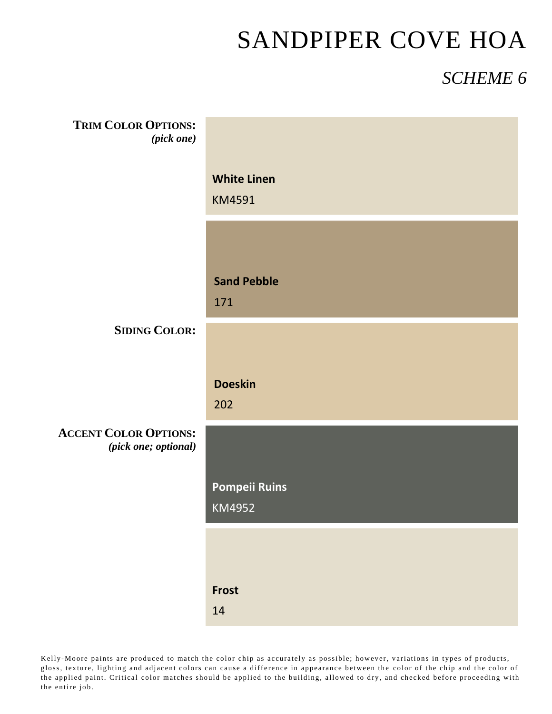### *SCHEME 6*

| <b>TRIM COLOR OPTIONS:</b><br>(pick one)             |                                     |
|------------------------------------------------------|-------------------------------------|
|                                                      | <b>White Linen</b><br><b>KM4591</b> |
|                                                      |                                     |
|                                                      | <b>Sand Pebble</b><br>171           |
| <b>SIDING COLOR:</b>                                 |                                     |
|                                                      | <b>Doeskin</b><br>202               |
| <b>ACCENT COLOR OPTIONS:</b><br>(pick one; optional) |                                     |
|                                                      | <b>Pompeii Ruins</b><br>KM4952      |
|                                                      |                                     |
|                                                      | Frost<br>14                         |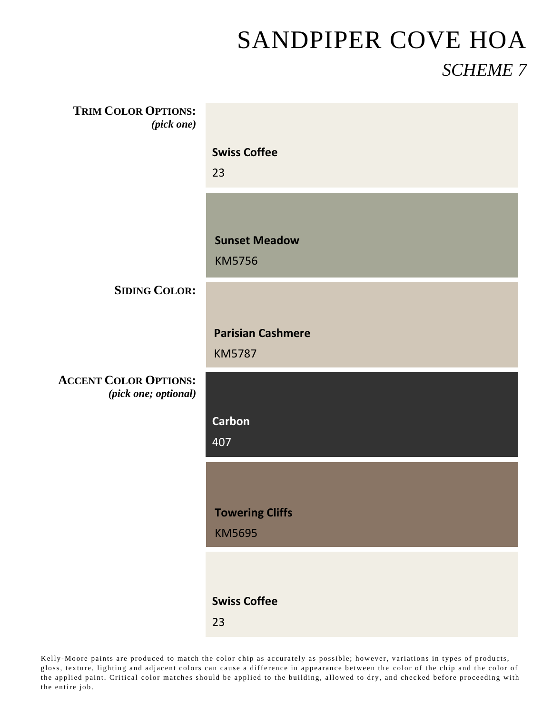| <b>TRIM COLOR OPTIONS:</b><br>(pick one) |                                           |
|------------------------------------------|-------------------------------------------|
|                                          | <b>Swiss Coffee</b><br>23                 |
|                                          | <b>Sunset Meadow</b><br><b>KM5756</b>     |
| <b>SIDING COLOR:</b>                     |                                           |
|                                          | <b>Parisian Cashmere</b><br><b>KM5787</b> |
| <b>ACCENT COLOR OPTIONS:</b>             |                                           |
| (pick one; optional)                     |                                           |
|                                          | <b>Carbon</b><br>407                      |
|                                          | <b>Towering Cliffs</b>                    |
|                                          | <b>KM5695</b>                             |
|                                          | <b>Swiss Coffee</b>                       |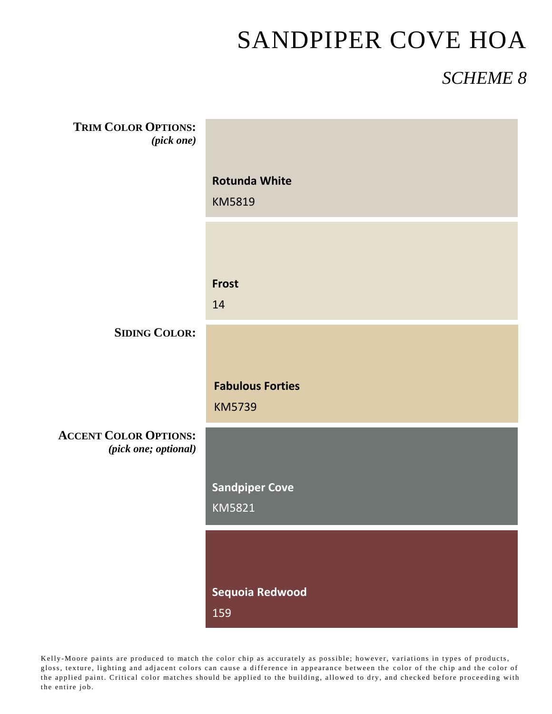### *SCHEME 8*

| <b>TRIM COLOR OPTIONS:</b><br>(pick one)             |                                          |
|------------------------------------------------------|------------------------------------------|
|                                                      | <b>Rotunda White</b><br>KM5819           |
|                                                      |                                          |
|                                                      | Frost<br>14                              |
| <b>SIDING COLOR:</b>                                 |                                          |
|                                                      | <b>Fabulous Forties</b><br><b>KM5739</b> |
| <b>ACCENT COLOR OPTIONS:</b><br>(pick one; optional) |                                          |
|                                                      | <b>Sandpiper Cove</b><br>KM5821          |
|                                                      |                                          |
|                                                      | Sequoia Redwood<br>159                   |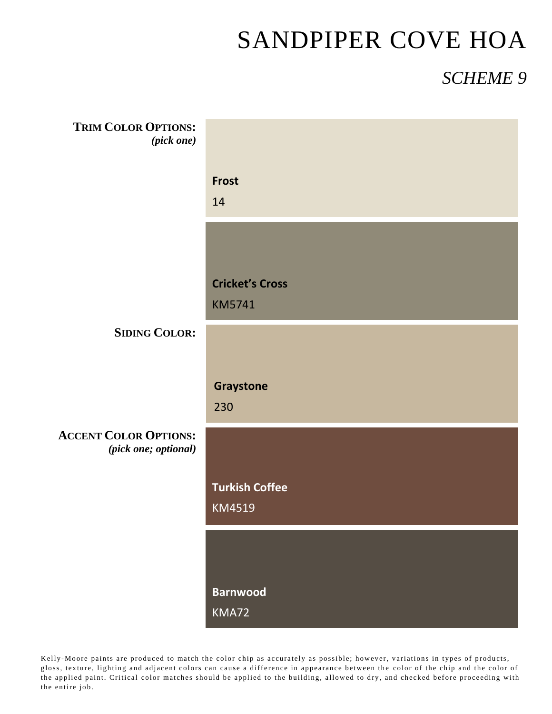### *SCHEME 9*

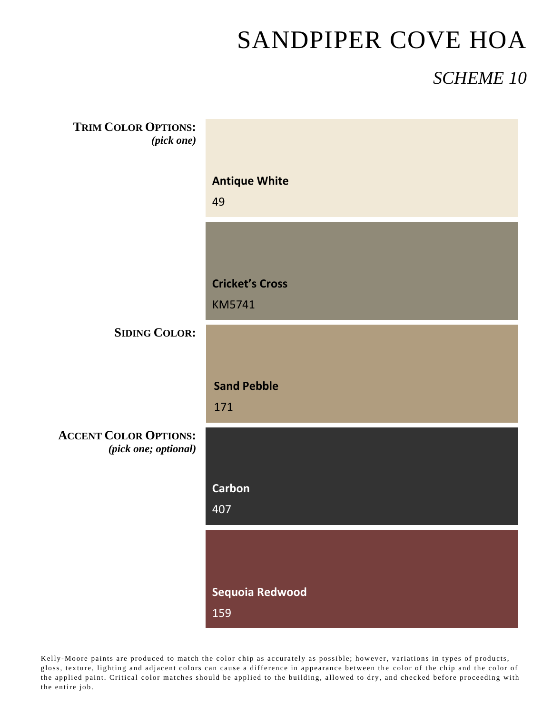### *SCHEME 10*

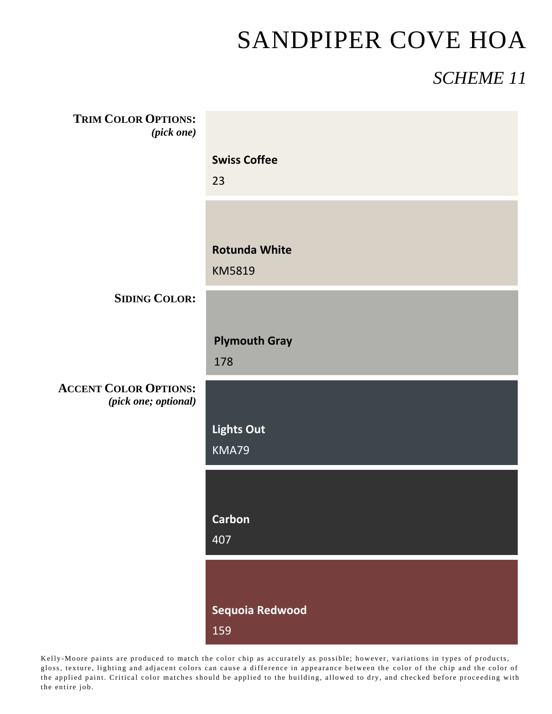### *SCHEME 11*

| <b>TRIM COLOR OPTIONS:</b><br>(pick one)             |                                       |
|------------------------------------------------------|---------------------------------------|
|                                                      | <b>Swiss Coffee</b><br>23             |
|                                                      | <b>Rotunda White</b><br><b>KM5819</b> |
| <b>SIDING COLOR:</b>                                 |                                       |
|                                                      | <b>Plymouth Gray</b><br>178           |
| <b>ACCENT COLOR OPTIONS:</b><br>(pick one; optional) |                                       |
|                                                      | <b>Lights Out</b><br>KMA79            |
|                                                      |                                       |
|                                                      | <b>Carbon</b><br>407                  |
|                                                      |                                       |
|                                                      | Sequoia Redwood<br>159                |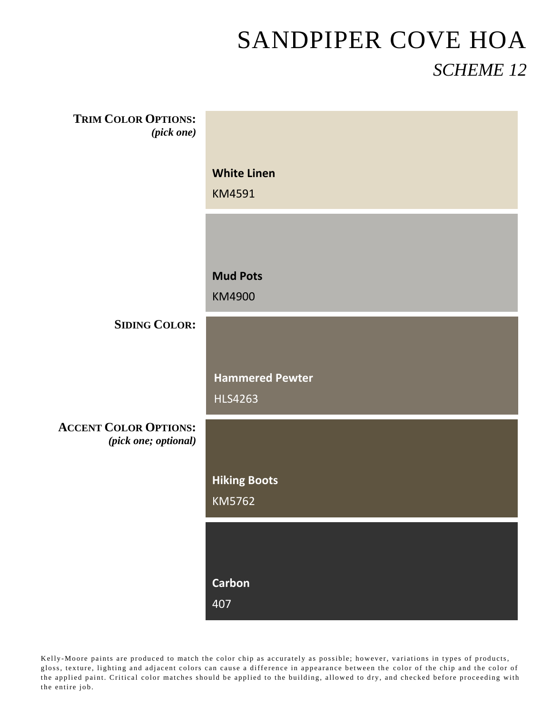| <b>TRIM COLOR OPTIONS:</b><br>(pick one)             |                                          |
|------------------------------------------------------|------------------------------------------|
|                                                      | <b>White Linen</b><br>KM4591             |
|                                                      |                                          |
|                                                      | <b>Mud Pots</b><br>KM4900                |
| <b>SIDING COLOR:</b>                                 |                                          |
|                                                      | <b>Hammered Pewter</b><br><b>HLS4263</b> |
| <b>ACCENT COLOR OPTIONS:</b><br>(pick one; optional) |                                          |
|                                                      | <b>Hiking Boots</b><br>KM5762            |
|                                                      |                                          |
|                                                      |                                          |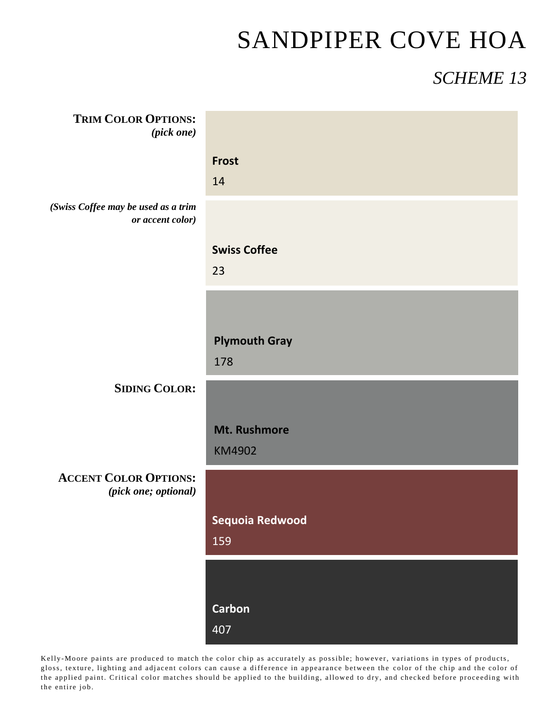### *SCHEME 13*

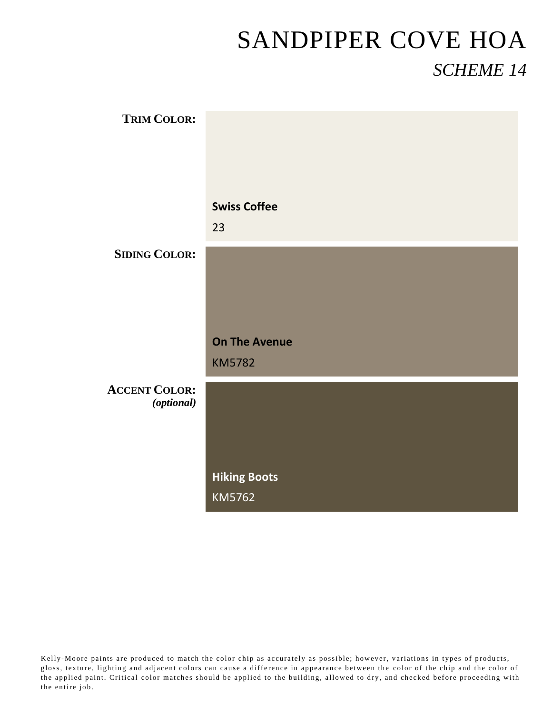| <b>TRIM COLOR:</b>                 |                      |
|------------------------------------|----------------------|
|                                    |                      |
|                                    |                      |
|                                    | <b>Swiss Coffee</b>  |
|                                    | 23                   |
| <b>SIDING COLOR:</b>               |                      |
|                                    |                      |
|                                    |                      |
|                                    | <b>On The Avenue</b> |
|                                    | <b>KM5782</b>        |
| <b>ACCENT COLOR:</b><br>(optional) |                      |
|                                    |                      |
|                                    |                      |
|                                    | <b>Hiking Boots</b>  |
|                                    | KM5762               |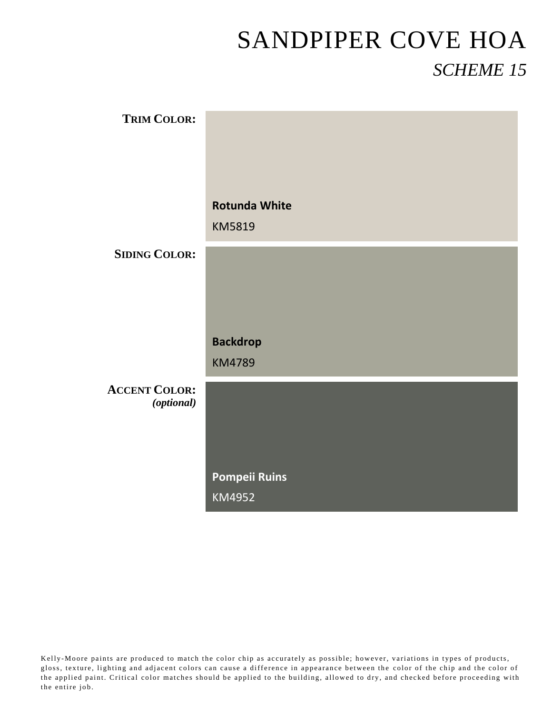| <b>TRIM COLOR:</b>                 |                      |
|------------------------------------|----------------------|
|                                    |                      |
|                                    |                      |
|                                    | <b>Rotunda White</b> |
|                                    | KM5819               |
| <b>SIDING COLOR:</b>               |                      |
|                                    |                      |
|                                    |                      |
|                                    | <b>Backdrop</b>      |
|                                    | <b>KM4789</b>        |
| <b>ACCENT COLOR:</b><br>(optional) |                      |
|                                    |                      |
|                                    |                      |
|                                    | <b>Pompeii Ruins</b> |
|                                    | KM4952               |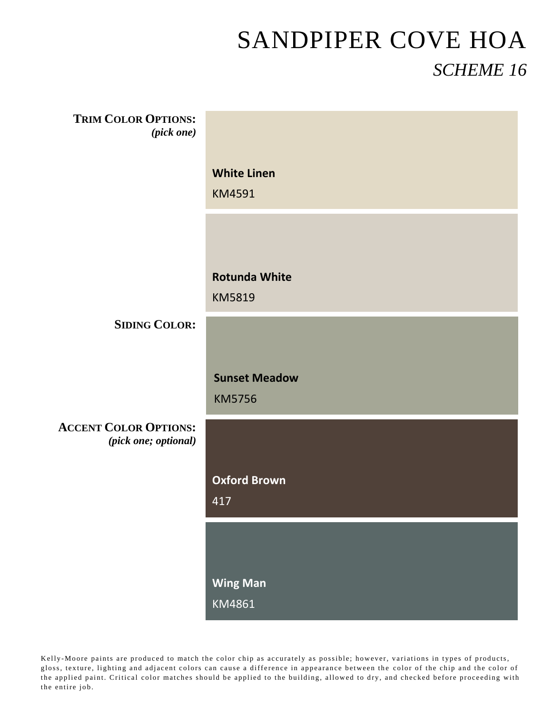| <b>TRIM COLOR OPTIONS:</b><br>$(pick\ one)$          |                                       |
|------------------------------------------------------|---------------------------------------|
|                                                      | <b>White Linen</b><br><b>KM4591</b>   |
|                                                      |                                       |
|                                                      | <b>Rotunda White</b><br><b>KM5819</b> |
| <b>SIDING COLOR:</b>                                 |                                       |
|                                                      | <b>Sunset Meadow</b><br><b>KM5756</b> |
| <b>ACCENT COLOR OPTIONS:</b><br>(pick one; optional) |                                       |
|                                                      | <b>Oxford Brown</b><br>417            |
|                                                      |                                       |
|                                                      | <b>Wing Man</b><br>KM4861             |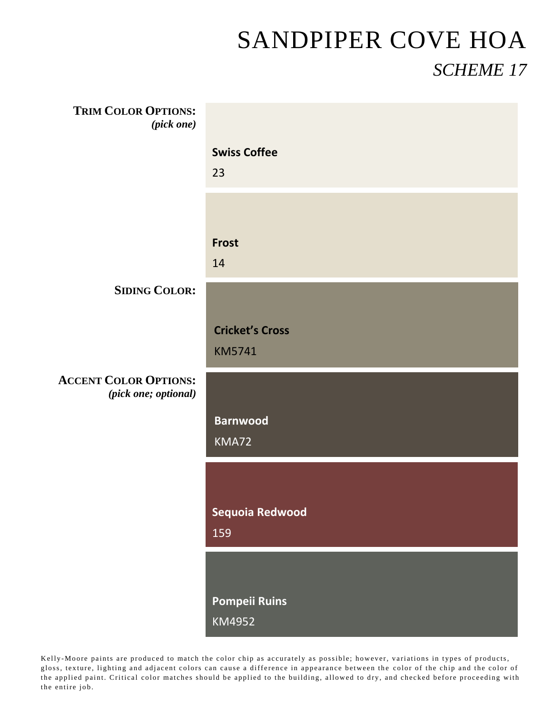| <b>TRIM COLOR OPTIONS:</b><br>(pick one)             |                                         |
|------------------------------------------------------|-----------------------------------------|
|                                                      | <b>Swiss Coffee</b><br>23               |
|                                                      |                                         |
|                                                      | <b>Frost</b><br>14                      |
| <b>SIDING COLOR:</b>                                 |                                         |
|                                                      | <b>Cricket's Cross</b><br><b>KM5741</b> |
| <b>ACCENT COLOR OPTIONS:</b><br>(pick one; optional) |                                         |
|                                                      | <b>Barnwood</b><br>KMA72                |
|                                                      |                                         |
|                                                      | Sequoia Redwood<br>159                  |
|                                                      |                                         |
|                                                      | <b>Pompeii Ruins</b><br>KM4952          |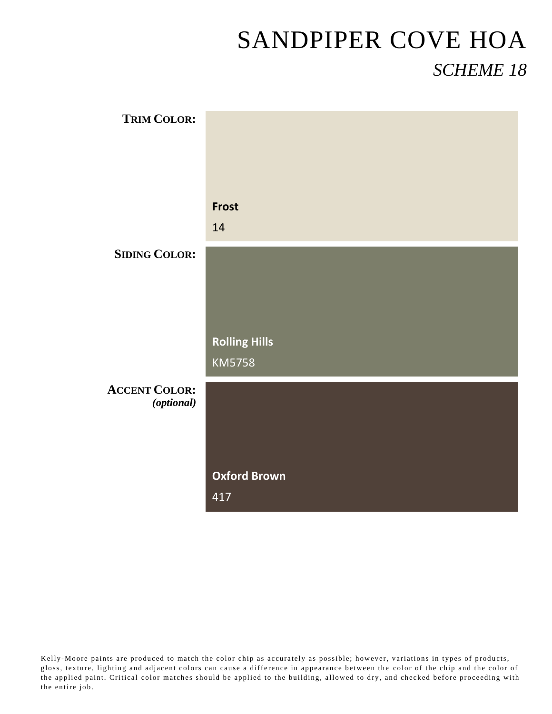| <b>TRIM COLOR:</b>   |                                       |
|----------------------|---------------------------------------|
|                      |                                       |
|                      |                                       |
|                      | <b>Frost</b>                          |
|                      | 14                                    |
| <b>SIDING COLOR:</b> |                                       |
|                      |                                       |
|                      |                                       |
|                      |                                       |
|                      | <b>Rolling Hills</b><br><b>KM5758</b> |
| <b>ACCENT COLOR:</b> |                                       |
| (optional)           |                                       |
|                      |                                       |
|                      |                                       |
|                      | <b>Oxford Brown</b>                   |
|                      | 417                                   |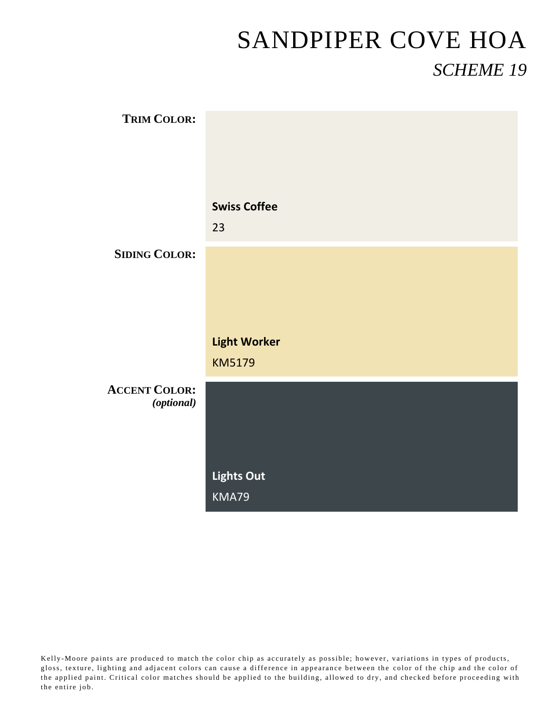| <b>TRIM COLOR:</b>                 |                     |
|------------------------------------|---------------------|
|                                    |                     |
|                                    |                     |
|                                    | <b>Swiss Coffee</b> |
|                                    | 23                  |
| <b>SIDING COLOR:</b>               |                     |
|                                    |                     |
|                                    |                     |
|                                    | <b>Light Worker</b> |
|                                    | <b>KM5179</b>       |
| <b>ACCENT COLOR:</b><br>(optional) |                     |
|                                    |                     |
|                                    |                     |
|                                    | <b>Lights Out</b>   |
|                                    | KMA79               |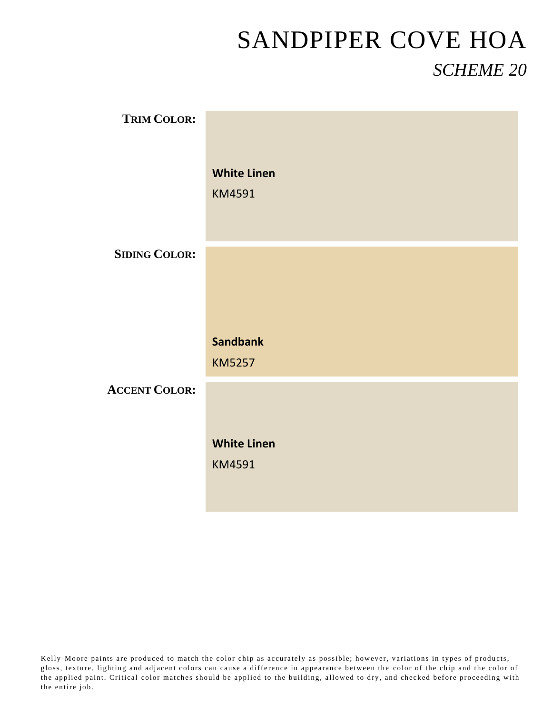| <b>TRIM COLOR:</b>   |                                  |
|----------------------|----------------------------------|
|                      | <b>White Linen</b><br>KM4591     |
| <b>SIDING COLOR:</b> |                                  |
|                      |                                  |
|                      | <b>Sandbank</b><br><b>KM5257</b> |
| <b>ACCENT COLOR:</b> |                                  |
|                      | <b>White Linen</b><br>KM4591     |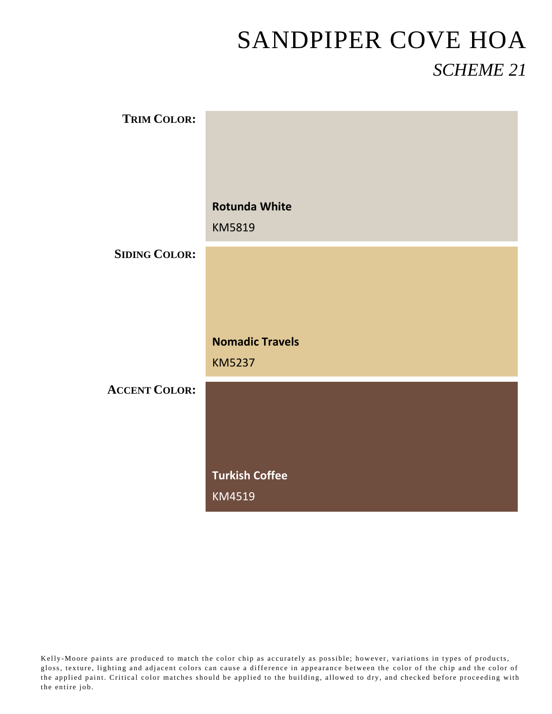| <b>TRIM COLOR:</b>   |                        |
|----------------------|------------------------|
|                      |                        |
|                      |                        |
|                      | <b>Rotunda White</b>   |
|                      | KM5819                 |
| <b>SIDING COLOR:</b> |                        |
|                      |                        |
|                      |                        |
|                      | <b>Nomadic Travels</b> |
|                      | <b>KM5237</b>          |
| <b>ACCENT COLOR:</b> |                        |
|                      |                        |
|                      |                        |
|                      | <b>Turkish Coffee</b>  |
|                      | KM4519                 |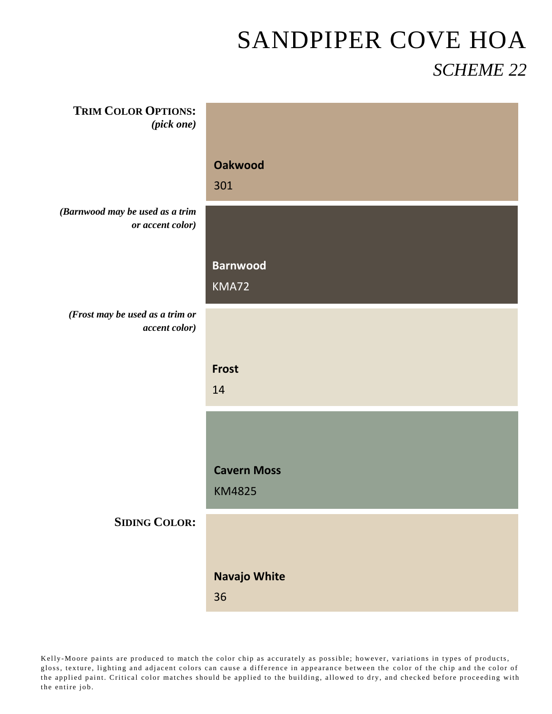| <b>TRIM COLOR OPTIONS:</b><br>(pick one)            |                                     |
|-----------------------------------------------------|-------------------------------------|
|                                                     | <b>Oakwood</b><br>301               |
| (Barnwood may be used as a trim<br>or accent color) |                                     |
|                                                     | <b>Barnwood</b><br>KMA72            |
| (Frost may be used as a trim or<br>accent color)    |                                     |
|                                                     | <b>Frost</b><br>14                  |
|                                                     |                                     |
|                                                     | <b>Cavern Moss</b><br><b>KM4825</b> |
| <b>SIDING COLOR:</b>                                |                                     |
|                                                     | <b>Navajo White</b><br>36           |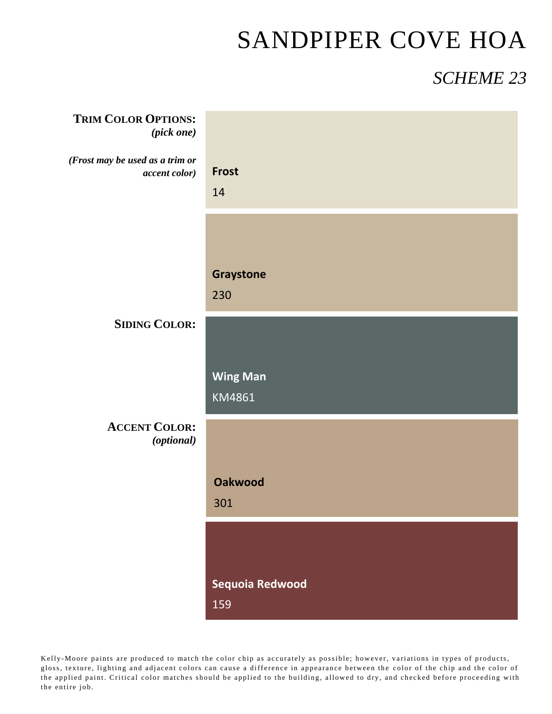### *SCHEME 23*

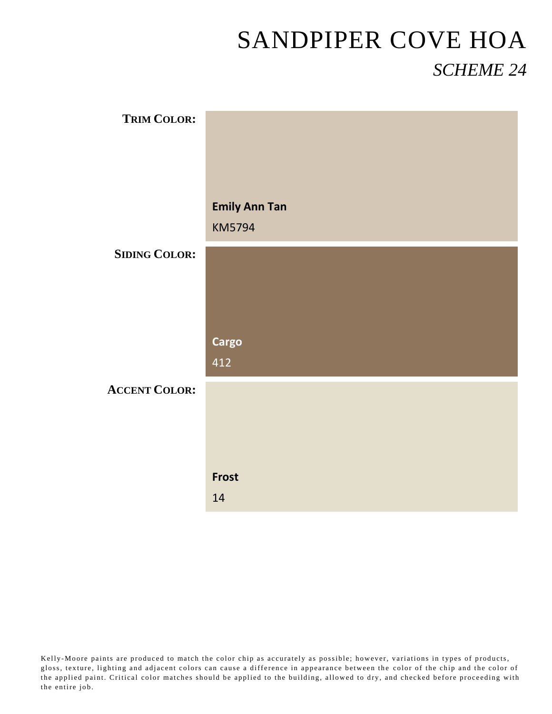| <b>TRIM COLOR:</b>   |                      |
|----------------------|----------------------|
|                      |                      |
|                      |                      |
|                      | <b>Emily Ann Tan</b> |
|                      | <b>KM5794</b>        |
| <b>SIDING COLOR:</b> |                      |
|                      |                      |
|                      |                      |
|                      | <b>Cargo</b>         |
|                      | 412                  |
| <b>ACCENT COLOR:</b> |                      |
|                      |                      |
|                      |                      |
|                      | <b>Frost</b>         |
|                      | 14                   |